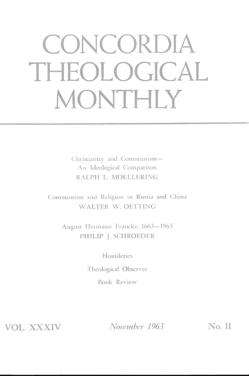# **CONCORDIA THEOLOGICAL MONTHLY**

Christianity and Communism-An Ideological Comparison RALPH L. MOELLERING

Communism. and Religion in Russia and China WALTER W. OETTING

August Hermann Francke, 1663-1963 PHILIP J. SCHROEDER

> Homiletics Theological Observer Book Review

VOL. XXXIV

*November 1963* No. 11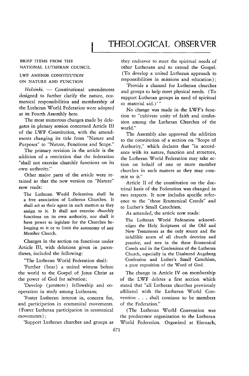## THEOLOGICAL OBSERVER

#### BRIEF ITEMS FROM THE NATIONAL LUTHERAN COUNCIL

#### LWF AMENDS CONSTITUTION ON NATURE AND FUNCTION

*Helsinki.* - Constitutional amendments designed to further clarify the nature, ecumenical responsibilities and membership of the Lutheran World Federation were adopted at its Fourth Assembly here.

The most numerous changes made by delegates in plenary session concerned Article III of the LWF Constitution, with the amendments changing its title from "Nature and Purposes" to "Nature, Functions and Scope,"

The primary revision in the article is the addition of a restriction that the federation "shall not exercise churchly functions on its own authority."

Other major parts of the article were retained so that the new version on "Nature" now reads:

The Lutheran World Federation shall be a free association of Lutheran Churches. It shall act as their agent in such matters as they assign to it. It shall not exercise churchly functions on its own authority, nor shall it have power to legislate for the Churches belonging to it or to limit the autonomy of any Member Church.

Changes in the section on functions under<br>Article III, with deletions given in paren-<br>Creeds and in the Confessions of the Lutheran theses, included the following: Church, especially in the Unaltered Augsburg

'Further (bear) a united witness before the world to the Gospel of Jesus Christ as The change in Article IV on membership the power of God for salvation; of the LWF deletes a first section which

operation in study among Lutherans; affiliated with the Lutheran World Con-

and participation in ecumenical movements. (Foster Lutheran participation in ecumenical (The Lutheran World Convention was

they endeavor to meet the spiritual needs of other Lutherans and to extend the Gospel. (To develop a united Lutheran approach to responsibilities in missions and education);

'Provide a channel for Lutheran churches and groups to help meet physical needs. (To support Lutheran groups in need of spiritual or material aid.)'"

No change was made in the LWF's function to "cultivate unity of faith and confession among the Lutheran Churches of the world."

The Assembly also approved the addition to the constitution of a section on "Scope of Authority," which declares that "in accordance with its nature, function and structure, the Lutheran World Federation may take action on behalf of one or more member churches in such matters as they may commit to it."

Article II of the constitution on the doctrinal basis of the Federation was changed in two respects. It now includes specific reference to the "three Ecumenical Creeds" and to Luther's Small Catechism.

As amended, the article now reads:

The Lutheran World Federation acknowledges the Holy Scriptures of the Old and New Testaments as the only source and the infallible norm of all church doctrine and Creeds and in the Confessions of the Lutheran "The Lutheran World Federation shall: Confession and Luther's Small Catechism,<br>Eugenee Cheap a united witness before a pure exposition of the Word of God.

'Develop (promote) fellowship and co- stated that "all Lutheran churches previously 'Foster Lutheran interest in, concern for, vention ... shall continue to be members

movements); the predecessor organization to the Lutheran 'Support Lutheran churches and groups as World Federation. Organized at Eisenach,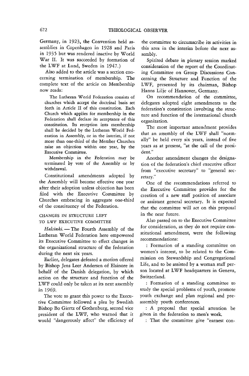Germany, in 1923, the Convention held assemblies in Copenhagen in 1928 and Paris in 1935 but was rendered inactive by World War II. It was succeeded by formation of the LWF at Lund, Sweden in 1947.)

Also added to the article was a section concerning termination of membership. The complete text of the article on Membership now reads:

The Lutheran World Federation consists of churches which accept the doctrinal basis set forth in Article II of this constitution. Each Church which applies for membership in the Federation shall declare its acceptance of this constitution. Its reception into membership shall be decided by the Lutheran World Federation in Assembly, or in the interim, if not more than one-third of the Member Churches raise an objection within one year, by the Executive Committee.

Membership in the Federation may be terminated by vote of the Assembly or by withdrawal.

Constitutional amendments adopted by the Assembly will become effective one year after their adoption unless objection has been filed with the Executive Committee by Churches embracing in aggregate one-third of the constituency of the Federation.

#### CHANGES IN STRUCTURE LEFT TO LWF EXECUTIVE COMMITTEE

*Helsinki.* - The Fourth Assembly of the Lutheran World Federation here empowered its Executive Committee to effect changes in the organizational structure of the federation during the next six years.

Earlier, delegates defeated a motion offered by Bishop Jens Leer Andersen of Elsinore in behalf of the Danish delegation, by which action on the structure and function of the LWF could only be taken at its next assembly in 1969.

The vote to grant this power to the Executive Committee followed a plea by Swedish Bishop Bo Giertz of Gothenburg, second vice president of the LWF, who warned that it would "dangerously affect" the efficiency of

the committee to circumscribe its activities in this area in the interim before the next assembly.

Spirited debate in plenary session marked consideration of the report of the Coordinating Committee on Group Discussions Concerning the Structure and Function of the LWF, presented by its chairman, Bishop Hanns Lilje of Hannover, Germany.

On recommendation of the committee, delegates adopted eight amendments to the federation's constitution involving the structure and function of the international church organization.

The most important amendment provides that an assembly of the LWF shall "normally" be held every six years, instead of five years as at present, "at the call of the president."

Another amendment changes the designation of the federation's chief executive officer from "executive secretary" to "general secretary."

One of the recommendations referred to the Executive Committee provides for the creation of a new staff position of associate or assistant general secretary. It is expected that the committee will act on this proposal in the near future.

Also passed on to the Executive Committee for consideration, as they do not require constitutional amendment, were the following recommendations:

: Formation of a standing committee on women's interest, to be related to the Commission on Stewardship and Congregational Life, and to be assisted by a woman staff person located at LWF headquarters in Geneva, Switzerland.

: Formation of a standing committee to study the special problems of youth, promote youth exchange and plan regional and preassembly youth conferences.

: A proposal that special attention be given in the federation to men's work.

: That the committee give "earnest con-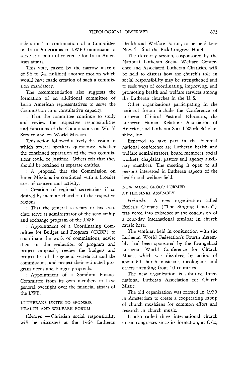sideration" to continuation of a Committee on Latin America as an LWF Commission to serve as a point of reference for Latin American affairs.

This vote, passed by the narrow margin of 96 to 94, nullified another motion which would have made creation of such a commission mandatory.

The recommendation also suggests the formation of an additional committee of Latin American representatives to serve the Commission in a consultative capacity.

: That the committee continue to study and review the respective responsibilities and functions of the Commissions on World Service and on World Mission.

This action followed a lively discussion in which several speakers questioned whether the continued separation of the two commissions could be justified. Others felt that they should be retained as separate entities.

: A proposal that the Commission on Inner Missions be continued with a broader area of concern and activity.

: Creation of regional secretariats if so desired by member churches of the respective regions.

: That the general secretary or his associate serve as administrator of the scholarship and exchange program of the LWF.

: Appointment of a Coordinating Committee for Budget and Program (CCBP) to coordinate the work of commissions, advise them on the evaluation of program and project proposals, review the budgets and project list of the general secretariat and the commissions, and project their estimated program needs and budget proposals.

: Appointment of a Standing Finance Committee from its own members to have general oversight over the financial affairs of the LWF.

#### LUTHERANS UNITE TO SPONSOR HEALTH AND WELFARE FORUM

Chicago. - Christian social responsibility will be discussed at the 1963 Lutheran Health and Welfare Forum, to be held here Nov. 4-6 at the Pick-Congress Hotel.

The three-day session, cosponsored by the National Lutheran Social Welfare Conference and Associated Lutheran Charities, will be held to discuss how the church's role in social responsibility may be strengthened and to seek ways of coordinating, improving, and promoting health and welfare services among the Lutheran churches in the U. S.

Other organizations participating in the national forum include the Conference of Lutheran Clinical Pastoral Educators, the Lutheran Human Relations Association of America, and Lutheran Social Work Scholarships, Inc.

Expected to take part in the biennial national conference are Lutheran health and welfare administrators, board members, social workers, chaplains, pastors and agency auxiliary members. The meeting is open to all persons interested in Lutheran aspects of the health and welfare field.

#### NEW MUSIC GROUP FORMED AT HELSINKI ASSEMBLY

*Helsinki.* - A new organization called Ecclesia Cantans ("The Singing Church") was voted into existence at the conclusion of a four-day international seminar in church music here.

The seminar, held in conjunction with the Lutheran World Federation's Fourth Assembly, had been sponsored by the Evangelical Lutheran World Conference for Church Music, which was dissolved by action of about 60 church musicians, theologians, and others attending from 10 countries.

The new organization is subtitled International Lutheran Association for Church Music.

The old organization was formed in 1955 in Amsterdam to create a cooperating group of church musicians for common effort and research in church music.

It also called three international church music congresses since its formation, at Oslo,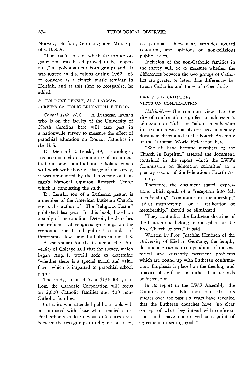Norway; Herford, Germany; and Minneapolis, U. S. A.

"The resolutions on which the former organization was based proved to be inoperable," a spokesman for both groups said. It was agreed in discussions during 1962-63 to convene as a church music seminar in Helsinki and at this time to reorganize, he added.

#### SOCIOLOGIST LENSKI, ALC LAYMAN, SURVEYS CATHOLIC EDUCATION EFFECTS

*Chapel Hill, N. C.* - A Lutheran layman who is on the faculty of the University of North Carolina here will take part in a nationwide survey to measure the effect of parochial education on Roman Catholics in the U. S.

Dr. Gerhard E. Lenski, 39, a sociologist, has been named to a committee of prominent Catholic and non-Catholic scholars which will work with those in charge of the survey, *it* was announced by the University of Chicago's National Opinion Research Center which is conducting the study.

Dr. Lenski, son of a Lutheran pastor, is a member of the American Lutheran Church. He is the author of "The Religious Factor" published last year. In this book, based on a study of metropolitan Detroit, he describes the influence of religious groupings on the economic, social and political attitudes of Protestants, Jews, and Catholics in the U. S.

A spokesman for the Center at the University of Chicago said that the survey, which began Aug. 1, would seek to determine "whether there is a special moral and value flavor which is imparted to parochial school pupils."

The study, financed by a \$136,000 grant from the Carnegie Corporation will focus on 2,000 Catholic families and 500 non-Catholic families.

Catholics who attended public schools will be compared with those who attended parochial schools to learn what differences exist between the two groups in religious practices,

occupational achievement, attitudes toward education, and opinions on non-religious public issues.

Inclusion of the non-Catholic families in the survey will be to measure whether the differences between the two groups of Catholics are greater or lesser than differences between Catholics and those of other faiths.

### LWF STUDY CRITICIZES

#### VIEWS ON CONFIRMATION

Helsinki. - The common view that the rite of confirmation signifies an adolescent's admission to "full" or "adult" membership in the church was sharply criticized in a study document distributed at the Fourth Assembly of the Lutheran World Federation here.

"We all have become members of the Church in Baptism," asserted the document, contained in the report which the LWF's Commission on Education submitted to a plenary session of the federation's Fourth Assembly.

Therefore, the document stated, expressions which speak of a "reception into full membership," "communicant membership," "adult membership," or a "ratification of membership," should be eliminated.

"They contradict the Lutheran doctrine of the Church and belong in the sphere of the Free Church or sect," it said.

Written by Prof. Joachim Heubach of the University of Kiel in Germany, the lengthy document presents a compendium of the *his*torical and currently pertinent problems which are bound up with Lutheran confirmation. Emphasis is placed on the theology and practice of confirmation rather than methods of instruction.

In its report to the LWF Assembly, the Commission on Education said that its studies over the past six years have revealed that the Lutheran churches have "no clear concept of what they intend with confirmation" and "have not arrived at a point of agreement in setting goals."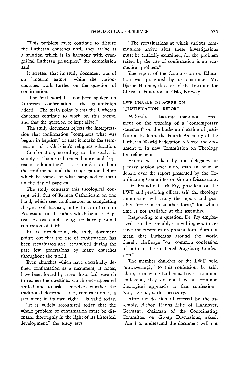"This problem must continue to disturb the Lutheran churches until they arrive at a solution which is in harmony with evangelical Lutheran principles," the commission said.

It stressed that its study document was of an "interim nature" while the various churches work further on the question of confirmation.

"The final word has not been spoken on Lutheran confirmation," the commission added. "The main point is that the Lutheran churches continue to work on this theme, and that the question be kept alive."

The study document rejects the interpretation that confirmation "completes what was begun in baptism" or that it marks the termination of a Christian's religious education.

Confirmation, according to the study, is simply a "baptismal remembrance and baptismal admonition"-a reminder to both the confirmand and the congregation before which he stands, of what happened to them on the day of baptism.

The study contrasts this theological concept with that of Roman Catholicism on one hand, which sees confirmation as completing the grace of Baptism, and with that of certain Protestants on the other, which belittles Baptism by overemphasizing the later personal confession of faith.

In its introduction, the study document points out that the rite of confirmation has been reevaluated and reexamined during the past few generations by many churches throughout the world.

Even churches which have doctrinally defined confirmation as a sacrament, it notes, have been forced by recent historical research to reopen the questions which once appeared settled and to ask themselves whether the traditional doctrine  $-$  i.e., confirmation as a sacrament in its own right-is valid today.

'1t is widely recognized today that the whole problem of confirmation must be discussed thoroughly in the light of its historical development," the study says.

"The reevaluations at which various communions arrive after these investigations must be critically examined, for the problem raised by the rite of confirmation is an ecumenical problem."

The report of the Commission on Education was presented by its chairman, Mr. Bjarne Hareide, director of the Institute for Christian Education in Oslo, Norway.

#### LWF UNABLE TO AGREE ON "JUSTIFICATION" REPORT

*Helsinki.* - Lacking unanimous agreement on the wording of a "contemporary statement" on the Lutheran doctrine of justification by faith, the Fourth Assembly of the Lutheran World Federation referred the document to *its* new Commission on Theology for refinement.

Action was taken by the delegates in plenary session after more than an hour of debate over the report presented by the Coordinating Committee on Group Discussions.

Dr. Franklin Clark Fry, president of the LWF and presiding officer, said the theology commission will study the report and possibly "recast it in another form," for which time is not available at this assembly.

Responding to a question, Dr. Fry emphasized that the assembly's unwillingness to receive the report in its present form does not mean that Lutherans aronnd the world thereby challenge "our common confession of faith in the unaltered Augsburg Confession."

The member churches of the LWF hold "unwaveringly" to this confession, he said, adding that while Lutherans have a common confession, they do not have a "common theological approach to that confession." Nor, he said, is this necessary.

After the decision of referral by the assembly, Bishop Hanns Lilje of Hannover, Germany, chairman of the Coordinating Committee on Group Discussions, asked, "Am I to understand the document will not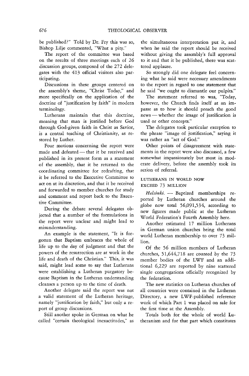be published?" Told by Dr. Fry this was so, Bishop Lilje commented, "What a pity."

The report of the committee was based on the results of three meetings each of 26 discussion groups, composed of the 272 delegates with the 413 official visitors also partici pating.

Discussions in these groups centered on the assembly's theme, "Christ Today," and more specifically on the application of the doctrine of "justification by faith" in modern terminology.

Lutherans maintain that this doctrine, meaning that man is justified before God through God-given faith in Christ as Savior, is a central teaching of Christianity, as restored by Luther.

Four motions concerning the report were made and defeated - that it be received and published in its present form as a statement of the assembly, that it be returned to the coordinating committee for redrafting, that it be referred to the Executive Committee to act on at its discretion, and that it be received and forwarded to member churches for study and comment and report back to the Executive Committee.

During the debate several delegates objected that a number of the formulations in the report were unclear and might lead to misunderstanding.

An example is the statement, "It is forgotten that Baptism embraces the whole of life up to the day of judgment and that the powers of the resurrection are at work in the life and death of the Christian." This, it was said, might lead some to say that Lutherans were establishing a Lutheran purgatory because Baptism in the Lutheran understanding cleanses a person up to the time of death.

Another delegate said the report was not a valid statement of the Lutheran heritage, namely "justification by faith," but only a report of group discussions.

Still another spoke in German on what he called "certain theological inexactitudes," as the simultaneous interpretation put it, and when he said the report should be received without giving the assembly's full approval to it and that it be published, there was scattered applause.

So strongly did one delegate feel concerning what he said were necessary amendments to the report in regard to one statement that he said "we ought to dismantle our pulpits."

The statement referred to was, "Today, however, the Church finds itself at an impasse as to how **it** should preach the good news — whether the image of justification is used or other concepts."

The delegates took particular exception to the phrase "image of justification," saying it was rather an "act of God."

Other points of disagreement with statements in the report were also discussed, a few somewhat impassionately but most in moderate delivery, before the assembly took its action of referral.

#### LUTHERANS IN WORLD NOW EXCEED 73 MILLION

Helsinki. - Baptized memberships reported by Lutheran churches around the globe now total 56,091,534, according to new figures made public at the Lutheran World Federation's Fourth Assembly here.

Another estimated 17 million Lutherans in German union churches bring the total world Lutheran membership to over 73 million.

Of the 56 million members of Lutheran churches, 51,644,718 are counted by the 73 member bodies of the LWF and an additional 6,229 are reported by nine scattered single congregations officially recognized by the federation.

The new statistics on Lutheran churches of all countries were contained in the Lutheran Directory, a new LWF-published reference work of which Part 1 was placed on sale for the first time at the Assembly.

Totals both for the whole of world Lutheranism and for that part which constitutes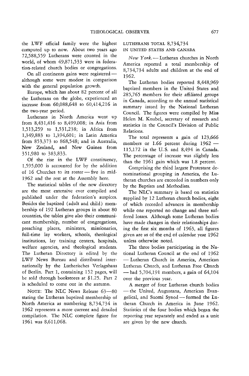the LWF official family were the highest computed up to now. About two years ago 72,588,559 Lutherans were counted in the world, of whom 49,871,533 were in federation-related church bodies or congregations.

On all continents gains were registeredalthough some were modest in comparison with the general population growth.

Europe, which has about 82 percent of all the Lutherans on the globe, experienced an increase from 60,088,648 to 60,414,216 in the two-year period.

Lutherans in North America went up from 8,431,416 to 8,499,008; in Asia from 1,513,259 to 1,531,238; in Africa from 1,349,883 to 1,394,601; in Latin America from 853,373 to 868,548; and in Australia, New Zealand, and New Guinea from 351,980 to 383,833.

Of the rise in the LWF constituency, 1,595,000 is accounted for by the addition of 16 Churches to its roster - five in mid-1962 and the rest at the Assembly here.

The statistical tables of the new directory are the most extensive ever compiled and published under the federation's auspices. Besides the baptized (adult and child) membership of 192 Lutheran groups in about 80 countries, the tables give also their communicant membership, number of congregations, preaching places, ministers, missionaries, full-time lay workers, schools, theological institutions, lay training centers, hospitals, welfare agencies, and theological students. The Lutheran Directory is edited by the LWF News Bureau and distributed internationally by the Lutherisches Verlagshaus of Berlin. Part 1, containing 152 pages, will be sold through bookstores at \$1.25. Part 2 is scheduled to come out in the autumn.

NOTE: The NLC News Release 63-80 stating the Lutheran baptized membership of North America as numbering 8,734,734 in 1962 represents a more current and detailed compilation. The NLC complete figure for 1961 was 8,611,068.

#### LUTHERANS TOTAL 8,734,734 IN UNITED STATES AND CANADA

*New* York.-Lutheran churches in North America reported a total membership of 8,734,734 adults and children at the end of 1962.

The Lutheran bodies reported 8,448,969 baptized members in the United States and 285,765 members for their affiliated groups in Canada, according to the annual statistical summary issued by the National Lutheran CounciL The figures were compiled by Miss Helen M. Knubel, secretary of research and statistics in the Council's Division of Public Relations.

The total represents a gain of 123,666 members or 1.66 percent during 1962 -115,172 in the U. S. and 8,494 in Canada. The percentage of increase was slightly less than the 1961 gain which was 1.8 percent.

Comprising the third largest Protestant denominational grouping in America, the Lutheran churches are exceeded in numbers only by the Baptists and Methodists.

The NLC's summary is based on statistics supplied by 12 Lutheran church bodies, eight of which recorded advances in membership while one reported no change and three suffered losses. Although some Lutheran bodies have made changes in their relationships during the first six months of 1963, all figures given are as of the end of calendar year 1962 unless otherwise noted.

The three bodies participating in the National Lutheran Council at the end of 1962 - Lutheran Church in America, American Lutheran Church, and Lutheran Free Church  $-$  had 5,704,191 members, a gain of 64,104 over the previous year.

A merger of four Lutheran church bodies -the United, Augustana, American Evangelical, and Suomi Synod - formed the Lutheran Church in America in June 1962. Statistics of the four bodies which began the reporting year separately and ended as a unit are given by the new church.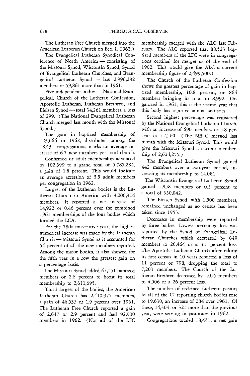The Lutheran Free Church merged into the American Lutheran Church on Feb. 1, 1963.)

The Evangelical Lutheran Synodical Conference of North America — consisting of the Missouri Synod, Wisconsin Synod, Synod of Evangelical Lutheran Churches, and Evangelical Lutheran Synod  $-$  has 2,996,282 members or 59,861 more than in 1961.

Five independent bodies - National Evangelical, Church of the Lutheran Confession, Apostolic Lutheran, Lutheran Brethren, and Eielsen Synod — total 34,261 members, a loss of 299. (The National Evangelical Lutheran Church merged last month with the Missouri Synod.)

The gain in baptized membership of 123,666 in 1962, distributed among the 18,431 congregations, marks an average increase of 6.7 new members per local church.

Confirmed or adult membership advanced by 102,599 to a grand total of 5,785,284, a gain of 1.8 percent. This would indicate an average accession of 5.5 adult members per congregation in 1962.

Largest of the Lutheran bodies *is* the Lutheran Church in America with 3,200,314 members. It reported a net increase of 14,922 or 0.46 percent over the combined 1961 memberships of the four bodies which formed the LCA.

For the 18th consecutive year, the highest numerical increase was made by the Lutheran Church - Missouri Synod as it accounted for 54 percent of all the new members reported. Among the major bodies, it also showed for the fifth year in a row the greatest gain on a percentage basis.

The Missouri Synod added 67,151 baptized members or 2.6 percent to boost its total membership to 2,611,695.

Third largest of the bodies, the American Lutheran Church has 2,410,977 members, a gain of 46,535 or 1.9 percent over 1961. The Lutheran Free Church reported a gain of 2,647 or 2.9 percent and **had** 92,900 members in 1962. (Not all of the LFC membership merged with the ALC last February. The ALC reported that 88,523 baptized members of the LFC were in congregations certified for merger as of the end of 1962. This would give the ALC a current membership figure of 2,499,500.)

The Church of the Lutheran Confession shows the greatest percentage of gain in baptized membership, 10.8 percent, or 864 members bringing its total to 8,992. Organized in 1961, this is the second year that this body has reported annual statistics.

Second highest percentage was registered by the National Evangelical Lutheran Church, with an increase of 690 members or 5.8 percent to 12,560. (The NELC merged last month with the Missouri Synod. This would give the Missouri Synod a current membership of 2,624,255.)

The Evangelical Lutheran Synod gained 442 members over a two-year period, increasing its membership to 14,081.

The Wisconsin Evangelical Lutheran Synod gained 1,858 members or 0.5 percent to a total of 350,042.

The Eielsen Synod, with 1,500 members, remained unchanged as no census has been taken since 1953.

Decreases in membership were reported *by* three bodies. Lowest percentage loss was reported by the Synod of Evangelical Lutheran Churches which decreased by 649 members to 20,464 or a 3.1 percent loss. The Apostolic Lutheran Church after taking *its* first census in 10 years reported a loss of 11 percent or 798, dropping the total to 7,203 members. The Church of the Lutheran Brethren decreased by 1,055 members to 4,006 or a 26 percent loss.

The number of ordained Lutheran pastors in all of the 12 reporting church bodies rose to 19,630, an increase of 284 over 1961. Of these, 14,304, or 321 more than the previous year, were serving in pastorates in 1962.

Congregations totaled 18,431, a net gain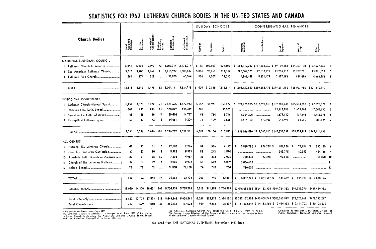## STATISTICS FOR 1962: LUTHERAN CHURCH BODIES IN THE UNITED STATES AND CANADA

|                                                                                                                                                                                             |                                | Serving<br>Pastoratos | Organized<br>Congregations | Regular<br>Preaching<br>Places | Baptized<br>Membership  | Confirmed<br>Membership                | SUNDAY SCHOOLS |          |                           | CONGREGATIONAL FINANCES                                                                                                                                  |                                                                        |                   |                  |                                                                                               |  |
|---------------------------------------------------------------------------------------------------------------------------------------------------------------------------------------------|--------------------------------|-----------------------|----------------------------|--------------------------------|-------------------------|----------------------------------------|----------------|----------|---------------------------|----------------------------------------------------------------------------------------------------------------------------------------------------------|------------------------------------------------------------------------|-------------------|------------------|-----------------------------------------------------------------------------------------------|--|
| Church Bodies                                                                                                                                                                               | Total<br>Ordained<br>Ministers |                       |                            |                                |                         |                                        | Number         | Teachers | Pupils                    | Property<br>Valuation                                                                                                                                    | ndebtedness                                                            | Local<br>Expenses | Work at<br>Large | Total<br>Expenses                                                                             |  |
| NATIONAL LUTHERAN COUNCIL                                                                                                                                                                   | 6.842                          | 5.000                 | 6.196                      | 72                             | 3,200,314               | 2,178,014                              | 6,116          | 109,109  | 1,029,102                 |                                                                                                                                                          | \$1,004,842,202 \$161,388,069 \$149,179,962 \$34,397,198               |                   |                  | \$183,577,160 1                                                                               |  |
| 2 The American Lutheran Church                                                                                                                                                              | 5,212                          | 3,708                 | 4,967                      | 11                             | 2.410.977               | 1,585,637                              | 5,004          | 96,269   | 773,332                   |                                                                                                                                                          | 582,509,979 122,638,927                                                | 93,284,337        | 19,787,291       | 113,071,628 2                                                                                 |  |
|                                                                                                                                                                                             | 260                            | 174                   | 328                        | $\ddotsc$                      | 92.900                  | 60.564                                 | 304            | 4.707    | 33,080                    | 17,368,459                                                                                                                                               | 5,831,479                                                              | 3,827,156         | 839,496          | 4,666,652 3                                                                                   |  |
|                                                                                                                                                                                             | 12.314                         |                       | 8,882   1,491              |                                |                         | 83 5.704.19 3.824.215                  |                |          | $1,424$ 210,085 1,835,514 |                                                                                                                                                          | \$1,604,720,640 \$289,858,475 \$246,291,455 \$55,023,985 \$301,315,440 |                   |                  |                                                                                               |  |
| SYNODICAL CONFERENCE                                                                                                                                                                        |                                |                       |                            |                                |                         |                                        |                |          |                           |                                                                                                                                                          |                                                                        |                   |                  |                                                                                               |  |
| 4 Lutheran Church-Missouri Synod                                                                                                                                                            | 6,157                          | 4,498                 | 5.722                      | 71                             |                         | 2,611,695 1,677,943                    | 5,657          | 98,941   | 853,827                   |                                                                                                                                                          | \$824,128,225 \$212,621,013 \$132,001,746 \$35,594,228                 |                   |                  | \$167.595.974                                                                                 |  |
|                                                                                                                                                                                             | 809                            | 650                   | 846                        | 26                             | 350,042                 | 236,442                                | 801            |          | 53,500                    |                                                                                                                                                          |                                                                        | 13,415,881        | 3,639,809        | 17,055,690                                                                                    |  |
| 6 Synod of Ev. Luth, Churches                                                                                                                                                               | 65                             | 55                    | 56                         | $\overline{7}$                 | 20,464                  | 14,737                                 | 58             | 734      | 5,718                     |                                                                                                                                                          | 7,354,205                                                              | 1,579,180         | 177,196          | 1,756,376 6                                                                                   |  |
| 7 Evangelical Lutheran Synod                                                                                                                                                                | 53                             | 43                    | 72                         | $\overline{2}$                 | 14.081                  | 9,209                                  | 71             | 459      | 3.548                     | 3.614.160                                                                                                                                                | 679,900                                                                | 541,491           | 164.655          | 706,146 7                                                                                     |  |
|                                                                                                                                                                                             | 7,084                          | 5,246                 | 6.696                      |                                | 106 2,996,282 1,938,331 |                                        | 6,587          | 100.134  | 916,593                   |                                                                                                                                                          | \$835,096,590 \$213,300,913 \$147,538,298 \$39,575,888 \$187,114,186   |                   |                  |                                                                                               |  |
| ALL OTHERS                                                                                                                                                                                  |                                |                       |                            |                                |                         |                                        |                |          |                           |                                                                                                                                                          |                                                                        |                   |                  |                                                                                               |  |
| 8 National Ev, Lutheran Church                                                                                                                                                              | 43                             | 37                    | 61                         | 5                              | 12,560                  | 7.796                                  | 54             | 586      | 4,192                     | 2,960.792 \$<br>Ş.                                                                                                                                       | 976,269 \$                                                             | 454,956 \$        | 75,154 \$        | 530,110                                                                                       |  |
| 9 Church of Lutheran Confession                                                                                                                                                             | 62                             | 52                    | 60                         | 5                              | 8,992                   | 5.953                                  | 55             | 243      | 1.574                     | ,,,,,,,,,,,,,,,,,,,,,,,                                                                                                                                  |                                                                        | 383.775           | 60,343           | 444, 118 9                                                                                    |  |
| 10 Apostolic Luth. Church of America                                                                                                                                                        | 27                             | 21                    | 55                         | 60                             | 7,203                   | 4,957                                  | 36             | 312      | 2,006                     | 730.333                                                                                                                                                  | 27,248                                                                 | 95.898            |                  | 95.898 10                                                                                     |  |
| 11 Church of the Lutheran Brethren                                                                                                                                                          | 97                             | 63                    | 59                         | 4                              | 4,006                   | 2,932                                  | 58             | 589      | 5,059                     | 3.066.600                                                                                                                                                |                                                                        |                   |                  |                                                                                               |  |
|                                                                                                                                                                                             | *3                             | *3                    | *9                         | $\cdots$                       | *1,500                  | *1.100                                 | *4             | $*10$    | *50                       | *80.000                                                                                                                                                  |                                                                        |                   |                  |                                                                                               |  |
|                                                                                                                                                                                             | 232                            | 176                   | 244                        | 74                             | 34,261                  | 22,738                                 | 207            | 1,740    | 12,881                    | \$                                                                                                                                                       | 6,837,725 \$ 1,003,517 \$                                              |                   |                  | 934,629 \$ 135,497 \$ 1,070,126                                                               |  |
|                                                                                                                                                                                             |                                | 19,630 14,304 18,431  |                            |                                |                         | 263 8,734,734 5,785,284                |                |          | 18,218 311,959 2,764,988  |                                                                                                                                                          |                                                                        |                   |                  | \$2,446,654,955 \$504,162,905 \$394,764,382 \$94,735,370 \$489,499,752                        |  |
|                                                                                                                                                                                             | 18,893                         | 13.725                | 17.371                     | 218                            | 8,448,969               | 5,608,261                              | 17,249         | 302,298  | 2,688,151                 |                                                                                                                                                          | \$2,395,152,408 \$490,000,745 \$386,769,549 \$92,623,668 \$479,393,217 |                   |                  |                                                                                               |  |
|                                                                                                                                                                                             | 737                            | 579                   | 1,060                      | 45                             | 285,765                 | 177,023                                | 969            | 9.661    | 76.837                    |                                                                                                                                                          |                                                                        |                   |                  | \$ 51,502,547 \$ 14,162,160 \$ 7,994,833 \$ 2,111,702 \$ 10,106,535                           |  |
| No census has been taken since 1953<br>The Lutheran Church in America is a merger as of June, 1962 of the United<br>Lutheran Church in America, the Augustana Lutheran Church, Suomi Synod, |                                |                       |                            |                                |                         | of the Lutheran Church-Missouri Synod, |                |          |                           | The Apostolic Lutheran Church now omits the word "Finnish" from its name.<br>The former Negro Missions of the Synodical Conference are now congregations |                                                                        |                   |                  | Compiled by Research & Statistics, Division of<br>Public Relations, National Lutheran Courcil |  |

\* No census has been taken since 1953<br>The Lutheran Church in America, the Augustana Lutheran Church, Suomi Synod,<br>Lutheran Church in America, the Augustana Lütheran Church, Suomi Synod,<br>and the American Evangelical Luthera

Reprinted from THE NATIONAL LUTHERAN, September, 1963 issue